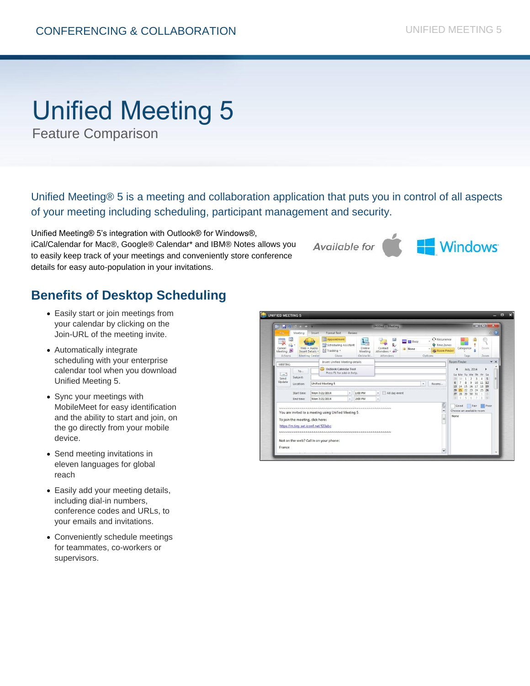# Unified Meeting 5

Feature Comparison

Unified Meeting® 5 is a meeting and collaboration application that puts you in control of all aspects of your meeting including scheduling, participant management and security.

Unified Meeting® 5's integration with Outlook® for Windows®, iCal/Calendar for Mac®, Google® Calendar\* and IBM® Notes allows you to easily keep track of your meetings and conveniently store conference details for easy auto-population in your invitations.

Available for



# **Benefits of Desktop Scheduling**

- Easily start or join meetings from your calendar by clicking on the Join-URL of the meeting invite.
- Automatically integrate scheduling with your enterprise calendar tool when you download Unified Meeting 5.
- Sync your meetings with MobileMeet for easy identification and the ability to start and join, on the go directly from your mobile device.
- Send meeting invitations in eleven languages for global reach
- Easily add your meeting details, including dial-in numbers, conference codes and URLs, to your emails and invitations.
- Conveniently schedule meetings for teammates, co-workers or supervisors.

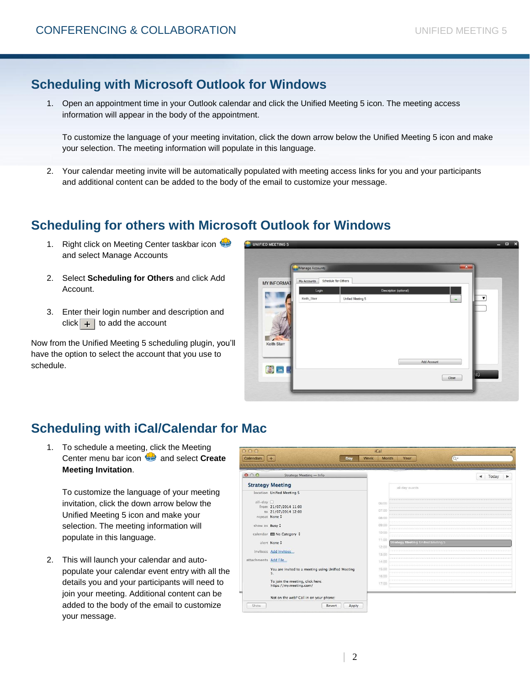## **Scheduling with Microsoft Outlook for Windows**

1. Open an appointment time in your Outlook calendar and click the Unified Meeting 5 icon. The meeting access information will appear in the body of the appointment.

To customize the language of your meeting invitation, click the down arrow below the Unified Meeting 5 icon and make your selection. The meeting information will populate in this language.

2. Your calendar meeting invite will be automatically populated with meeting access links for you and your participants and additional content can be added to the body of the email to customize your message.

### **Scheduling for others with Microsoft Outlook for Windows**

- 1. Right click on Meeting Center taskbar icon and select Manage Accounts
- 2. Select **Scheduling for Others** and click Add Account.
- 3. Enter their login number and description and click  $+$  to add the account

Now from the Unified Meeting 5 scheduling plugin, you'll have the option to select the account that you use to schedule.

| <b>UNIFIED MEETING 5</b> |                      |                     |                        |                      |              | -                       | $\mathbf{x}$<br>$\Box$ |
|--------------------------|----------------------|---------------------|------------------------|----------------------|--------------|-------------------------|------------------------|
|                          | Manage Accounts      |                     |                        |                      | $\mathbf{x}$ |                         |                        |
| <b>MY INFORMAT</b>       | My Accounts          | Schedule for Others |                        |                      |              |                         |                        |
| Keith Starr              | Login<br>Keith_Starr | Unified Meeting 5   | Description (optional) | ۰                    |              | $\overline{\mathbf{v}}$ |                        |
| 3 in                     |                      |                     |                        | Add Account<br>Close |              | <b>NG</b>               |                        |

# **Scheduling with iCal/Calendar for Mac**

1. To schedule a meeting, click the Meeting Center menu bar icon **B** and select **Create Meeting Invitation**.

To customize the language of your meeting invitation, click the down arrow below the Unified Meeting 5 icon and make your selection. The meeting information will populate in this language.

2. This will launch your calendar and autopopulate your calendar event entry with all the details you and your participants will need to join your meeting. Additional content can be added to the body of the email to customize your message.

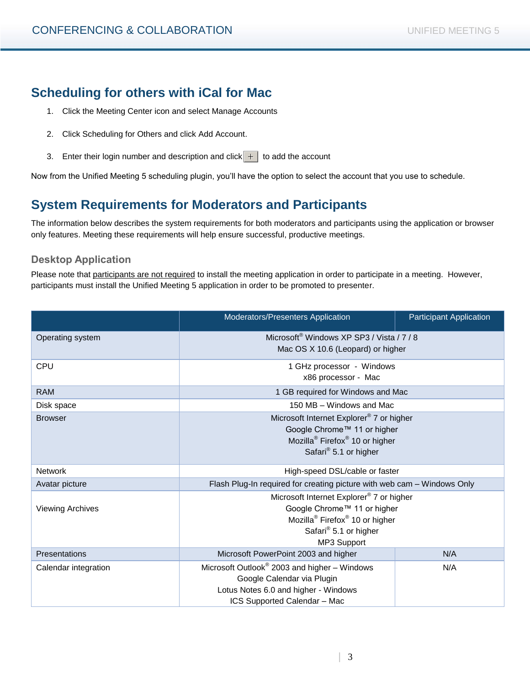# **Scheduling for others with iCal for Mac**

- 1. Click the Meeting Center icon and select Manage Accounts
- 2. Click Scheduling for Others and click Add Account.
- 3. Enter their login number and description and click  $\frac{1}{\sqrt{1}}$  to add the account

Now from the Unified Meeting 5 scheduling plugin, you'll have the option to select the account that you use to schedule.

#### **System Requirements for Moderators and Participants**

The information below describes the system requirements for both moderators and participants using the application or browser only features. Meeting these requirements will help ensure successful, productive meetings.

#### **Desktop Application**

Please note that participants are not required to install the meeting application in order to participate in a meeting. However, participants must install the Unified Meeting 5 application in order to be promoted to presenter.

|                         | Moderators/Presenters Application                                       | <b>Participant Application</b> |  |  |
|-------------------------|-------------------------------------------------------------------------|--------------------------------|--|--|
| Operating system        | Microsoft <sup>®</sup> Windows XP SP3 / Vista / 7 / 8                   |                                |  |  |
|                         | Mac OS X 10.6 (Leopard) or higher                                       |                                |  |  |
| <b>CPU</b>              | 1 GHz processor - Windows                                               |                                |  |  |
|                         | x86 processor - Mac                                                     |                                |  |  |
| <b>RAM</b>              | 1 GB required for Windows and Mac                                       |                                |  |  |
| Disk space              | 150 MB - Windows and Mac                                                |                                |  |  |
| <b>Browser</b>          | Microsoft Internet Explorer® 7 or higher                                |                                |  |  |
|                         | Google Chrome™ 11 or higher                                             |                                |  |  |
|                         | Mozilla <sup>®</sup> Firefox <sup>®</sup> 10 or higher                  |                                |  |  |
|                         | Safari <sup>®</sup> 5.1 or higher                                       |                                |  |  |
| <b>Network</b>          | High-speed DSL/cable or faster                                          |                                |  |  |
| Avatar picture          | Flash Plug-In required for creating picture with web cam - Windows Only |                                |  |  |
|                         | Microsoft Internet Explorer® 7 or higher                                |                                |  |  |
| <b>Viewing Archives</b> | Google Chrome™ 11 or higher                                             |                                |  |  |
|                         | Mozilla <sup>®</sup> Firefox <sup>®</sup> 10 or higher                  |                                |  |  |
|                         | Safari <sup>®</sup> 5.1 or higher                                       |                                |  |  |
|                         | MP3 Support                                                             |                                |  |  |
| Presentations           | Microsoft PowerPoint 2003 and higher                                    | N/A                            |  |  |
| Calendar integration    | Microsoft Outlook® 2003 and higher - Windows                            | N/A                            |  |  |
|                         | Google Calendar via Plugin                                              |                                |  |  |
|                         | Lotus Notes 6.0 and higher - Windows                                    |                                |  |  |
|                         | ICS Supported Calendar - Mac                                            |                                |  |  |